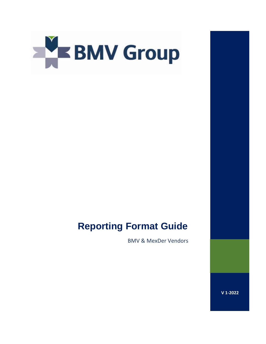

# **Reporting Format Guide**

BMV & MexDer Vendors

**V 1-2022**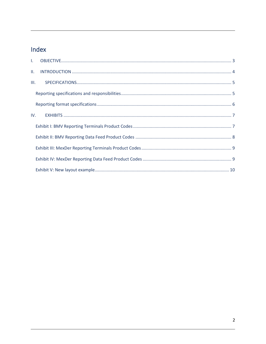# Index

| III. |  |  |  |
|------|--|--|--|
|      |  |  |  |
|      |  |  |  |
|      |  |  |  |
|      |  |  |  |
|      |  |  |  |
|      |  |  |  |
|      |  |  |  |
|      |  |  |  |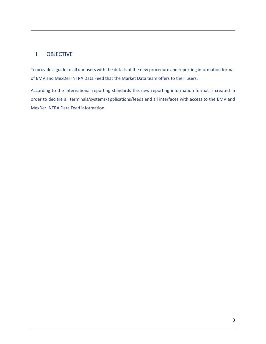### <span id="page-2-0"></span>I. OBJECTIVE

To provide a guide to all our users with the details of the new procedure and reporting information format of BMV and MexDer INTRA Data Feed that the Market Data team offers to their users.

According to the international reporting standards this new reporting information format is created in order to declare all terminals/systems/applications/feeds and all interfaces with access to the BMV and MexDer INTRA Data Feed information.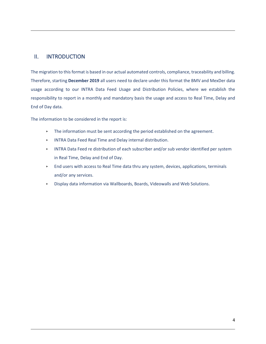### <span id="page-3-0"></span>II. INTRODUCTION

The migration to this format is based in our actual automated controls, compliance, traceability and billing. Therefore, starting **December 2019** all users need to declare under this format the BMV and MexDer data usage according to our INTRA Data Feed Usage and Distribution Policies, where we establish the responsibility to report in a monthly and mandatory basis the usage and access to Real Time, Delay and End of Day data.

The information to be considered in the report is:

- **FILM** The information must be sent according the period established on the agreement.
- INTRA Data Feed Real Time and Delay internal distribution.
- INTRA Data Feed re distribution of each subscriber and/or sub vendor identified per system in Real Time, Delay and End of Day.
- End users with access to Real Time data thru any system, devices, applications, terminals and/or any services.
- Display data information via Wallboards, Boards, Videowalls and Web Solutions.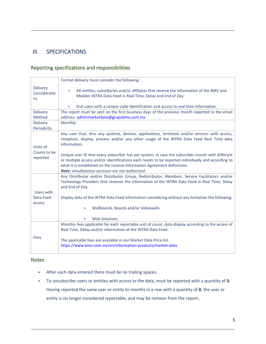### <span id="page-4-0"></span>III. SPECIFICATIONS

### <span id="page-4-1"></span>Reporting specifications and responsibilities

|                                       | Format delivery must consider the following:                                                                                                                                                                                                                                                                                          |
|---------------------------------------|---------------------------------------------------------------------------------------------------------------------------------------------------------------------------------------------------------------------------------------------------------------------------------------------------------------------------------------|
| <b>Delivery</b><br>Consideratio<br>ns | All entities, subsidiaries and/or affiliates that receive the information of the BMV and<br>$\blacktriangleright$<br>MexDer INTRA Data Feed in Real Time, Delay and End of Day.                                                                                                                                                       |
|                                       | End users with a unique code identification and access to real time information.                                                                                                                                                                                                                                                      |
| <b>Delivery</b><br>Method             | The report must be sent on the first business days of the previous month reported to the email<br>address: adminmarketdata@grupobmv.com.mx                                                                                                                                                                                            |
| <b>Delivery</b><br>Periodicity        | Monthly                                                                                                                                                                                                                                                                                                                               |
| Units of                              | Any user that, thru any systems, devices, applications, terminals and/or services with access,<br>reception, display, process and/or any other usage of the INTRA Data Feed Real Time data<br>information.                                                                                                                            |
| Counts to be<br>reported              | Unique user ID that every subscriber has per system, in case the subscriber counts with different<br>or multiple access and/or identifications each needs to be reported individually and according to<br>what it is established on the License Information Agreement definitions.<br>Note: simultaneous accesses are not authorized. |
| Users with<br>Data Feed               | Any Distributor and/or Distributor Group, Redistributor, Members, Service Facilitators and/or<br>Technology Providers that receives the information of the INTRA Data Feed in Real Time, Delay<br>and End of Day.<br>Display data of the INTRA Data Feed information considering without any limitation the following:                |
| access                                | Wallboards, Boards and/or Videowalls                                                                                                                                                                                                                                                                                                  |
|                                       | <b>Web Solutions</b>                                                                                                                                                                                                                                                                                                                  |
|                                       | Monthly fees applicable for each reportable unit of count, data display according to the access of<br>Real Time, Delay and/or information of the INTRA Data Feed.                                                                                                                                                                     |
| Fees                                  | The applicable fees are available in our Market Data Price list.<br>https://www.bmv.com.mx/en/information-products/market-data                                                                                                                                                                                                        |

#### **Notes**

- After each data entered there must be no trailing spaces.
- To unsubscribe users or entities with access to the data, must be reported with a quantity of **0.**  Having reported the same user or entity to months in a row with a quantity of **0**, the user or entity is no longer considered reportable, and may be remove from the report**.**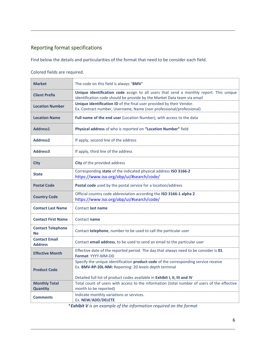### <span id="page-5-0"></span>Reporting format specifications

Find below the details and particularities of the format that need to be consider each field.

#### Colored fields are required.

| <b>Market</b>                           | The code on this field is always "BMV"                                                                                                                                                                                      |
|-----------------------------------------|-----------------------------------------------------------------------------------------------------------------------------------------------------------------------------------------------------------------------------|
| <b>Client Prefix</b>                    | Unique identification code assign to all users that send a monthly report. This unique<br>identification code should be provide by the Market Data team via email                                                           |
| <b>Location Number</b>                  | Unique identification ID of the final user provided by their Vendor.<br>Ex. Contract number, Username, Name (non professional/professional)                                                                                 |
| <b>Location Name</b>                    | Full name of the end user (Location Number), with access to the data                                                                                                                                                        |
| Address1                                | Physical address of who is reported on "Location Number" field                                                                                                                                                              |
| <b>Address2</b>                         | If apply, second line of the address                                                                                                                                                                                        |
| Address3                                | If apply, third line of the address                                                                                                                                                                                         |
| <b>City</b>                             | City of the provided address                                                                                                                                                                                                |
| State                                   | Corresponding state of the indicated physical address ISO 3166-2<br>https://www.iso.org/obp/ui/#search/code/                                                                                                                |
| <b>Postal Code</b>                      | Postal code used by the postal service for a location/address                                                                                                                                                               |
| <b>Country Code</b>                     | Official country code abbreviation according the ISO 3166-1 alpha 2<br>https://www.iso.org/obp/ui/#search/code/                                                                                                             |
| <b>Contact Last Name</b>                | <b>Contact last name</b>                                                                                                                                                                                                    |
| <b>Contact First Name</b>               | Contact name                                                                                                                                                                                                                |
| <b>Contact Telephone</b><br>No          | Contact telephone, number to be used to call the particular user                                                                                                                                                            |
| <b>Contact Email</b><br><b>Address</b>  | Contact email address, to be used to send an email to the particular user                                                                                                                                                   |
| <b>Effective Month</b>                  | Effective date of the reported period. The day that always need to be consider is 01.<br>Format: YYYY-MM-DD                                                                                                                 |
| <b>Product Code</b>                     | Specify the unique identification product code of the corresponding service receive<br>Ex. BMV-RP-20L-NM: Reporting: 20 levels depth terminal<br>Detailed full list of product codes available in Exhibit I, II, III and IV |
| <b>Monthly Total</b><br><b>Quantity</b> | Total count of users with access to the information (total number of users of the effective<br>month to be reported)                                                                                                        |
| <b>Comments</b>                         | Indicate monthly variations or services.<br>Ex. NEW/ADD/DELETE                                                                                                                                                              |

\**Exhibit V is an example of the information required on the format*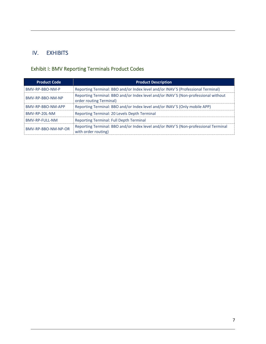### <span id="page-6-0"></span>IV. EXHIBITS

# <span id="page-6-1"></span>Exhibit I: BMV Reporting Terminals Product Codes

| <b>Product Code</b> | <b>Product Description</b>                                                                                    |  |
|---------------------|---------------------------------------------------------------------------------------------------------------|--|
| BMV-RP-BBO-NM-P     | Reporting Terminal: BBO and/or Index level and/or INAV'S (Professional Terminal)                              |  |
| BMV-RP-BBO-NM-NP    | Reporting Terminal: BBO and/or Index level and/or INAV'S (Non-professional without<br>order routing Terminal) |  |
| BMV-RP-BBO-NM-APP   | Reporting Terminal: BBO and/or Index level and/or INAV'S (Only mobile APP)                                    |  |
| BMV-RP-20L-NM       | Reporting Terminal: 20 Levels Depth Terminal                                                                  |  |
| BMV-RP-FULL-NM      | <b>Reporting Terminal: Full Depth Terminal</b>                                                                |  |
| BMV-RP-BBO-NM-NP-OR | Reporting Terminal: BBO and/or Index level and/or INAV'S (Non-professional Terminal<br>with order routing)    |  |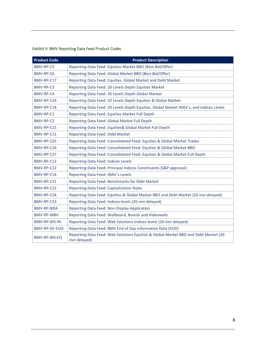#### <span id="page-7-0"></span>Exhibit II: BMV Reporting Data Feed Product Codes

| <b>Product Code</b> | <b>Product Description</b>                                                                          |
|---------------------|-----------------------------------------------------------------------------------------------------|
| <b>BMV-RP-C5</b>    | Reporting Data Feed: Equities Market BBO (Best Bid/Offer)                                           |
| BMV-RP-C6           | Reporting Data Feed: Global Market BBO (Best Bid/Offer)                                             |
| BMV-RP-C17          | Reporting Data Feed: Equities, Global Market and Debt Market                                        |
| BMV-RP-C3           | Reporting Data Feed: 20 Levels Depth Equities Market                                                |
| BMV-RP-C4           | Reporting Data Feed: 20 Levels Depth Global Market                                                  |
| BMV-RP-C16          | Reporting Data Feed: 20 Levels Depth Equities & Global Market                                       |
| BMV-RP-C18          | Reporting Data Feed: 20 Levels Depth Equities, Global Market INAV's, and Indices Levels             |
| BMV-RP-C1           | Reporting Data Feed: Equities Market Full Depth                                                     |
| BMV-RP-C2           | Reporting Data Feed: Global Market Full Depth                                                       |
| BMV-RP-C15          | Reporting Data Feed: Equities& Global Market Full Depth                                             |
| BMV-RP-C11          | Reporting Data Feed: Debt Market                                                                    |
| BMV-RP-C25          | Reporting Data Feed: Consolidated Feed: Equities & Global Market Trades                             |
| BMV-RP-C26          | Reporting Data Feed: Consolidated Feed: Equities & Global Market BBO                                |
| BMV-RP-C27          | Reporting Data Feed: Consolidated Feed: Equities & Global Market Full Depth                         |
| BMV-RP-C13          | Reporting Data Feed: Indices Levels                                                                 |
| BMV-RP-C12          | Reporting Data Feed: Principal Indices Constituents (S&P approval)                                  |
| BMV-RP-C14          | Reporting Data Feed: INAV's Levels                                                                  |
| BMV-RP-C21          | Reporting Data Feed: Benchmarks for Debt Market                                                     |
| BMV-RP-C22          | Reporting Data Feed: Capitalization Rules                                                           |
| BMV-RP-C24          | Reporting Data Feed: Equities & Global Market BBO and Debt Market (20 min delayed)                  |
| BMV-RP-C23          | Reporting Data Feed: Indices levels (20 min delayed)                                                |
| BMV-RP-NDA          | Reporting Data Feed: Non-Display Application                                                        |
| <b>BMV-RP-WBV</b>   | Reporting Data Feed: Wallboard, Boards and Videowalls                                               |
| <b>BMV-RP-WS-IN</b> | Reporting Data Feed: Web Solutions Indices levels (20 min delayed)                                  |
| BMV-RP-DF-EOD       | Reporting Data Feed: BMV End of Day Information Data (EOD)                                          |
| BMV-RP-WS-EQ        | Reporting Data Feed: Web Solutions Equities & Global Market BBO and Debt Market (20<br>min delayed) |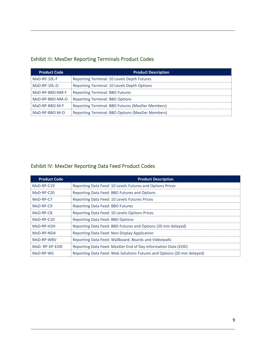## <span id="page-8-0"></span>Exhibit III: MexDer Reporting Terminals Product Codes

| <b>Product Code</b>                                           | <b>Product Description</b>                       |  |
|---------------------------------------------------------------|--------------------------------------------------|--|
| Reporting Terminal: 10 Levels Depth Futures<br>$MxD-RP-10I-F$ |                                                  |  |
| $MxD$ -RP-10L-O                                               | Reporting Terminal: 10 Levels Depth Options      |  |
| MxD-RP-BBO-NM-F                                               | <b>Reporting Terminal: BBO Futures</b>           |  |
| MxD-RP-BBO-NM-O                                               | <b>Reporting Terminal: BBO Options</b>           |  |
| MxD-RP-BBO-M-F                                                | Reporting Terminal: BBO Futures (MexDer Members) |  |
| $MxD-RP-BBO-M-O$                                              | Reporting Terminal: BBO Options (MexDer Members) |  |

# <span id="page-8-1"></span>Exhibit IV: MexDer Reporting Data Feed Product Codes

| <b>Product Code</b> | <b>Product Description</b>                                              |
|---------------------|-------------------------------------------------------------------------|
| $MxD-RP-C19$        | Reporting Data Feed: 10 Levels Futures and Options Prices               |
| $MxD-RP-C20$        | Reporting Data Feed: BBO Futures and Options                            |
| MxD-RP-C7           | Reporting Data Feed: 10 Levels Futures Prices                           |
| $MxD-RP-C9$         | <b>Reporting Data Feed: BBO Futures</b>                                 |
| $MxD-RP-C8$         | Reporting Data Feed: 10 Levels Options Prices                           |
| $MxD-RP-C10$        | <b>Reporting Data Feed: BBO Options</b>                                 |
| MxD-RP-H2H          | Reporting Data Feed: BBO Futures and Options (20 min delayed)           |
| MxD-RP-NDA          | Reporting Data Feed: Non-Display Application                            |
| MxD-RP-WBV          | Reporting Data Feed: Wallboard, Boards and Videowalls                   |
| MxD-RP-DF-EOD       | Reporting Data Feed: MexDer End of Day Information Data (EOD)           |
| MxD-RP-WS           | Reporting Data Feed: Web Solutions Futures and Options (20 min delayed) |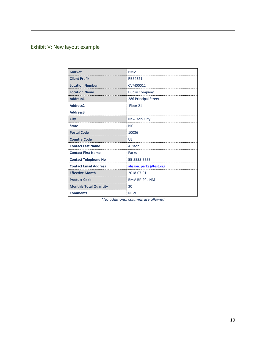# <span id="page-9-0"></span>Exhibit V: New layout example

| <b>Market</b>                 | <b>BMV</b>              |
|-------------------------------|-------------------------|
| <b>Client Prefix</b>          | RB54321                 |
| <b>Location Number</b>        | <b>CVM00012</b>         |
| <b>Location Name</b>          | Ducky Company           |
| Address1                      | 286 Principal Street    |
| <b>Address2</b>               | Floor <sub>21</sub>     |
| Address3                      |                         |
| City                          | New York City           |
| <b>State</b>                  | NΥ                      |
| <b>Postal Code</b>            | 10036                   |
| <b>Country Code</b>           | US                      |
| <b>Contact Last Name</b>      | Alisson                 |
| <b>Contact First Name</b>     | Parks                   |
| <b>Contact Telephone No</b>   | 55-5555-5555            |
| <b>Contact Email Address</b>  | alisson. parks@test.org |
| <b>Effective Month</b>        | 2018-07-01              |
| <b>Product Code</b>           | BMV-RP-20L-NM           |
| <b>Monthly Total Quantity</b> | 30                      |
| <b>Comments</b>               | <b>NEW</b>              |

*\*No additional columns are allowed*